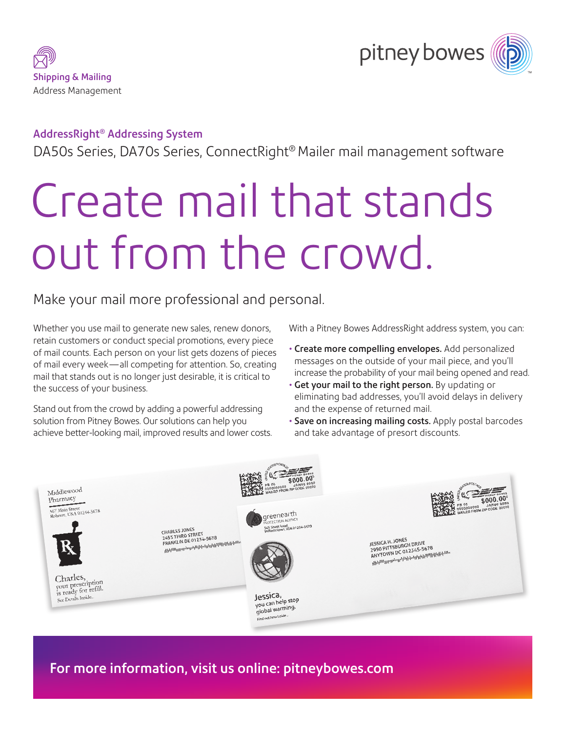



#### AddressRight® Addressing System

DA50s Series, DA70s Series, ConnectRight® Mailer mail management software

# Create mail that stands out from the crowd.

## Make your mail more professional and personal.

Whether you use mail to generate new sales, renew donors, retain customers or conduct special promotions, every piece of mail counts. Each person on your list gets dozens of pieces of mail every week—all competing for attention. So, creating mail that stands out is no longer just desirable, it is critical to the success of your business.

Stand out from the crowd by adding a powerful addressing solution from Pitney Bowes. Our solutions can help you achieve better-looking mail, improved results and lower costs. With a Pitney Bowes AddressRight address system, you can:

- Create more compelling envelopes. Add personalized messages on the outside of your mail piece, and you'll increase the probability of your mail being opened and read.
- Get your mail to the right person. By updating or eliminating bad addresses, you'll avoid delays in delivery and the expense of returned mail.
- Save on increasing mailing costs. Apply postal barcodes and take advantage of presort discounts.



For more information, visit us online: [pitneybowes.com](http://www.pitneybowes.com)